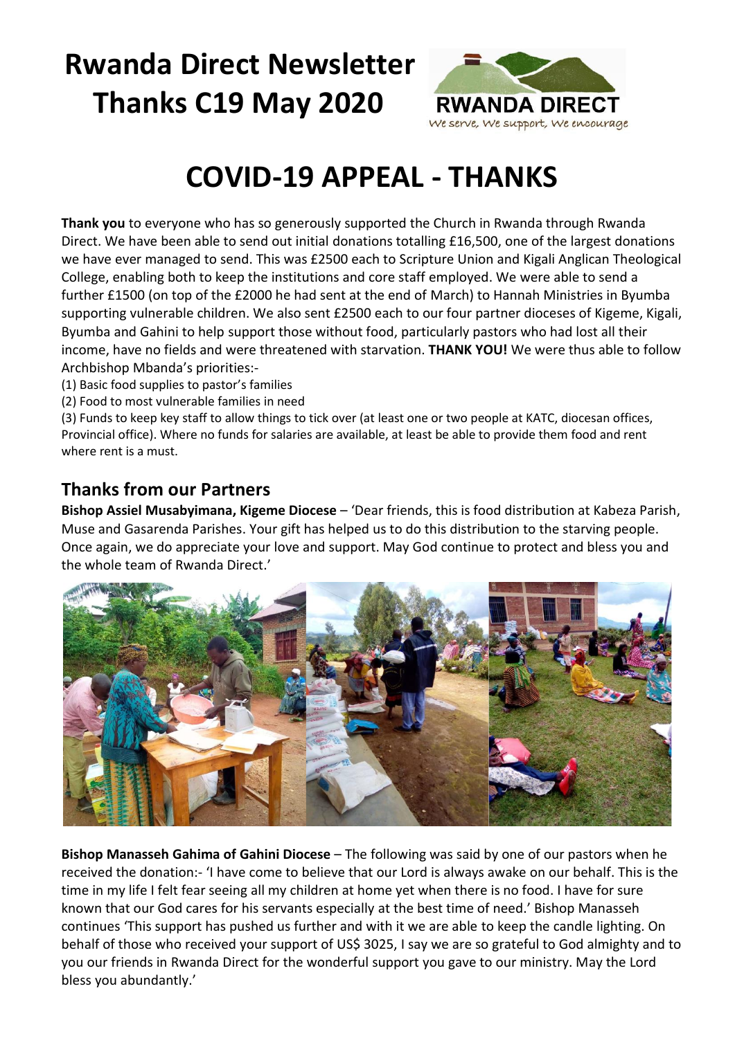# **Rwanda Direct Newsletter Thanks C19 May 2020**



# **COVID-19 APPEAL - THANKS**

**Thank you** to everyone who has so generously supported the Church in Rwanda through Rwanda Direct. We have been able to send out initial donations totalling £16,500, one of the largest donations we have ever managed to send. This was £2500 each to Scripture Union and Kigali Anglican Theological College, enabling both to keep the institutions and core staff employed. We were able to send a further £1500 (on top of the £2000 he had sent at the end of March) to Hannah Ministries in Byumba supporting vulnerable children. We also sent £2500 each to our four partner dioceses of Kigeme, Kigali, Byumba and Gahini to help support those without food, particularly pastors who had lost all their income, have no fields and were threatened with starvation. **THANK YOU!** We were thus able to follow Archbishop Mbanda's priorities:-

- (1) Basic food supplies to pastor's families
- (2) Food to most vulnerable families in need

(3) Funds to keep key staff to allow things to tick over (at least one or two people at KATC, diocesan offices, Provincial office). Where no funds for salaries are available, at least be able to provide them food and rent where rent is a must.

#### **Thanks from our Partners**

**Bishop Assiel Musabyimana, Kigeme Diocese** – 'Dear friends, this is food distribution at Kabeza Parish, Muse and Gasarenda Parishes. Your gift has helped us to do this distribution to the starving people. Once again, we do appreciate your love and support. May God continue to protect and bless you and the whole team of Rwanda Direct.'



**Bishop Manasseh Gahima of Gahini Diocese** – The following was said by one of our pastors when he received the donation:- 'I have come to believe that our Lord is always awake on our behalf. This is the time in my life I felt fear seeing all my children at home yet when there is no food. I have for sure known that our God cares for his servants especially at the best time of need.' Bishop Manasseh continues 'This support has pushed us further and with it we are able to keep the candle lighting. On behalf of those who received your support of US\$ 3025, I say we are so grateful to God almighty and to you our friends in Rwanda Direct for the wonderful support you gave to our ministry. May the Lord bless you abundantly.'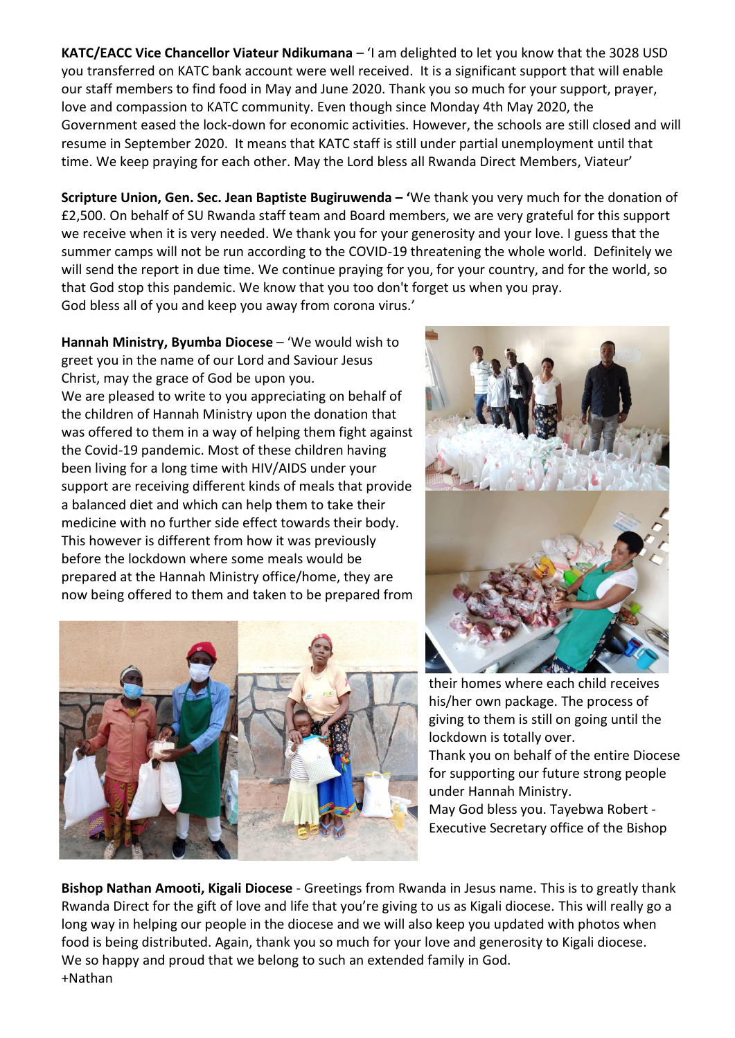**KATC/EACC Vice Chancellor Viateur Ndikumana** – 'I am delighted to let you know that the 3028 USD you transferred on KATC bank account were well received. It is a significant support that will enable our staff members to find food in May and June 2020. Thank you so much for your support, prayer, love and compassion to KATC community. Even though since Monday 4th May 2020, the Government eased the lock-down for economic activities. However, the schools are still closed and will resume in September 2020. It means that KATC staff is still under partial unemployment until that time. We keep praying for each other. May the Lord bless all Rwanda Direct Members, Viateur'

**Scripture Union, Gen. Sec. Jean Baptiste Bugiruwenda – '**We thank you very much for the donation of £2,500. On behalf of SU Rwanda staff team and Board members, we are very grateful for this support we receive when it is very needed. We thank you for your generosity and your love. I guess that the summer camps will not be run according to the COVID-19 threatening the whole world. Definitely we will send the report in due time. We continue praying for you, for your country, and for the world, so that God stop this pandemic. We know that you too don't forget us when you pray. God bless all of you and keep you away from corona virus.'

**Hannah Ministry, Byumba Diocese** – 'We would wish to greet you in the name of our Lord and Saviour Jesus Christ, may the grace of God be upon you. We are pleased to write to you appreciating on behalf of the children of Hannah Ministry upon the donation that was offered to them in a way of helping them fight against the Covid-19 pandemic. Most of these children having been living for a long time with HIV/AIDS under your support are receiving different kinds of meals that provide a balanced diet and which can help them to take their medicine with no further side effect towards their body. This however is different from how it was previously before the lockdown where some meals would be prepared at the Hannah Ministry office/home, they are now being offered to them and taken to be prepared from





their homes where each child receives his/her own package. The process of giving to them is still on going until the lockdown is totally over. Thank you on behalf of the entire Diocese

for supporting our future strong people under Hannah Ministry.

May God bless you. Tayebwa Robert - Executive Secretary office of the Bishop

**Bishop Nathan Amooti, Kigali Diocese** - Greetings from Rwanda in Jesus name. This is to greatly thank Rwanda Direct for the gift of love and life that you're giving to us as Kigali diocese. This will really go a long way in helping our people in the diocese and we will also keep you updated with photos when food is being distributed. Again, thank you so much for your love and generosity to Kigali diocese. We so happy and proud that we belong to such an extended family in God. +Nathan